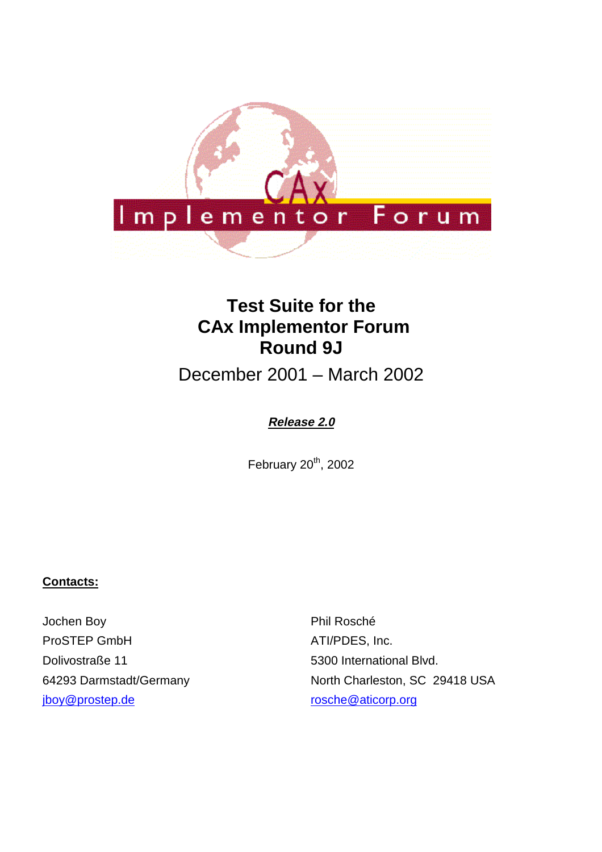

# **Test Suite for the CAx Implementor Forum Round 9J**

December 2001 – March 2002

### **Release 2.0**

February  $20<sup>th</sup>$ , 2002

#### **Contacts:**

Jochen Boy ProSTEP GmbH Dolivostraße 11 64293 Darmstadt/Germany jboy@prostep.de

Phil Rosché ATI/PDES, Inc. 5300 International Blvd. North Charleston, SC 29418 USA rosche@aticorp.org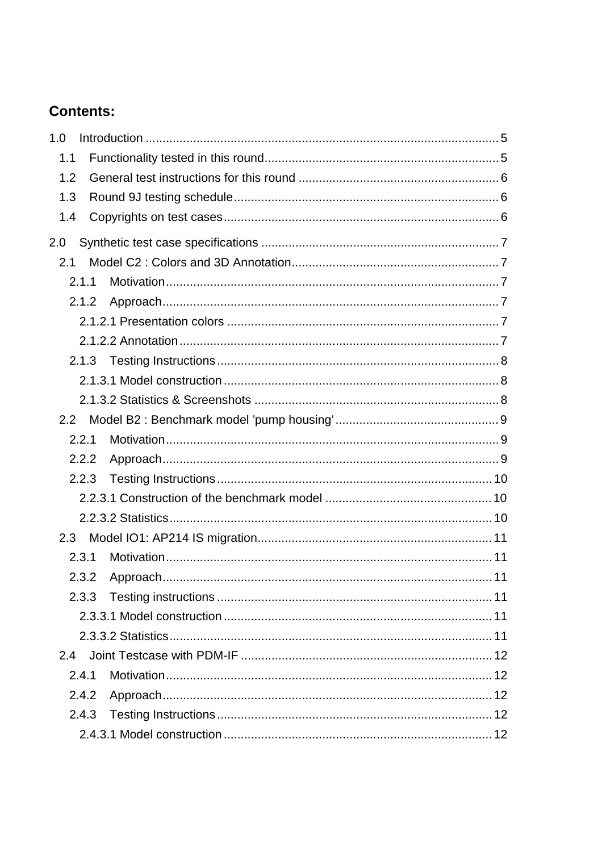## **Contents:**

| 1.0           |  |
|---------------|--|
| 1.1           |  |
| 1.2           |  |
| 1.3           |  |
| 1.4           |  |
| 2.0           |  |
| 2.1           |  |
| 2.1.1         |  |
| 2.1.2         |  |
|               |  |
|               |  |
|               |  |
|               |  |
|               |  |
| $2.2^{\circ}$ |  |
| 2.2.1         |  |
| 2.2.2         |  |
| 2.2.3         |  |
|               |  |
|               |  |
|               |  |
| 2.3.1         |  |
| 2.3.2         |  |
| 2.3.3         |  |
|               |  |
|               |  |
| 2.4           |  |
| 2.4.1         |  |
| 2.4.2         |  |
| 2.4.3         |  |
|               |  |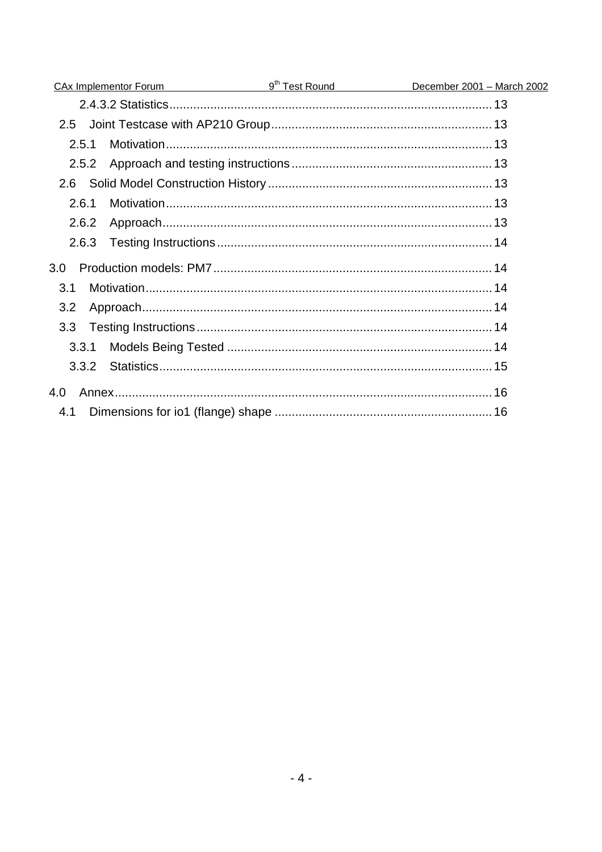| <u>CAx Implementor Forum g<sup>th</sup> Test Round</u> | December 2001 - March 2002 |
|--------------------------------------------------------|----------------------------|
|                                                        |                            |
| $2.5 -$                                                |                            |
| 2.5.1                                                  |                            |
| 2.5.2                                                  |                            |
| 2.6                                                    |                            |
| 2.6.1                                                  |                            |
| 2.6.2                                                  |                            |
| 2.6.3                                                  |                            |
| 3.0                                                    |                            |
| 3.1                                                    |                            |
| 3.2                                                    |                            |
| 3.3 <sub>2</sub>                                       |                            |
| 3.3.1                                                  |                            |
| 3.3.2                                                  |                            |
| 4.0                                                    |                            |
| 4.1                                                    |                            |
|                                                        |                            |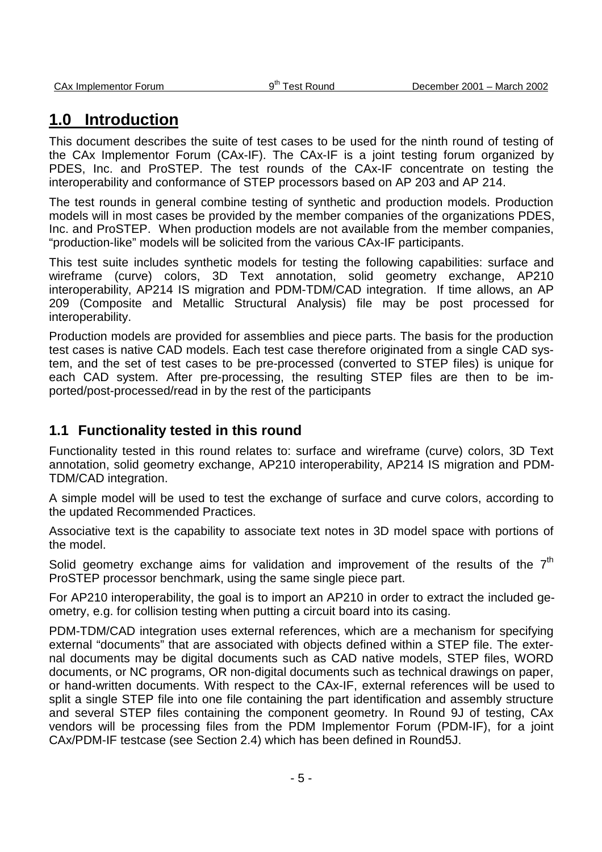## **1.0 Introduction**

This document describes the suite of test cases to be used for the ninth round of testing of the CAx Implementor Forum (CAx-IF). The CAx-IF is a joint testing forum organized by PDES, Inc. and ProSTEP. The test rounds of the CAx-IF concentrate on testing the interoperability and conformance of STEP processors based on AP 203 and AP 214.

The test rounds in general combine testing of synthetic and production models. Production models will in most cases be provided by the member companies of the organizations PDES, Inc. and ProSTEP. When production models are not available from the member companies, "production-like" models will be solicited from the various CAx-IF participants.

This test suite includes synthetic models for testing the following capabilities: surface and wireframe (curve) colors, 3D Text annotation, solid geometry exchange, AP210 interoperability, AP214 IS migration and PDM-TDM/CAD integration. If time allows, an AP 209 (Composite and Metallic Structural Analysis) file may be post processed for interoperability.

Production models are provided for assemblies and piece parts. The basis for the production test cases is native CAD models. Each test case therefore originated from a single CAD system, and the set of test cases to be pre-processed (converted to STEP files) is unique for each CAD system. After pre-processing, the resulting STEP files are then to be imported/post-processed/read in by the rest of the participants

### **1.1 Functionality tested in this round**

Functionality tested in this round relates to: surface and wireframe (curve) colors, 3D Text annotation, solid geometry exchange, AP210 interoperability, AP214 IS migration and PDM-TDM/CAD integration.

A simple model will be used to test the exchange of surface and curve colors, according to the updated Recommended Practices.

Associative text is the capability to associate text notes in 3D model space with portions of the model.

Solid geometry exchange aims for validation and improvement of the results of the  $7<sup>th</sup>$ ProSTEP processor benchmark, using the same single piece part.

For AP210 interoperability, the goal is to import an AP210 in order to extract the included geometry, e.g. for collision testing when putting a circuit board into its casing.

PDM-TDM/CAD integration uses external references, which are a mechanism for specifying external "documents" that are associated with objects defined within a STEP file. The external documents may be digital documents such as CAD native models, STEP files, WORD documents, or NC programs, OR non-digital documents such as technical drawings on paper, or hand-written documents. With respect to the CAx-IF, external references will be used to split a single STEP file into one file containing the part identification and assembly structure and several STEP files containing the component geometry. In Round 9J of testing, CAx vendors will be processing files from the PDM Implementor Forum (PDM-IF), for a joint CAx/PDM-IF testcase (see Section 2.4) which has been defined in Round5J.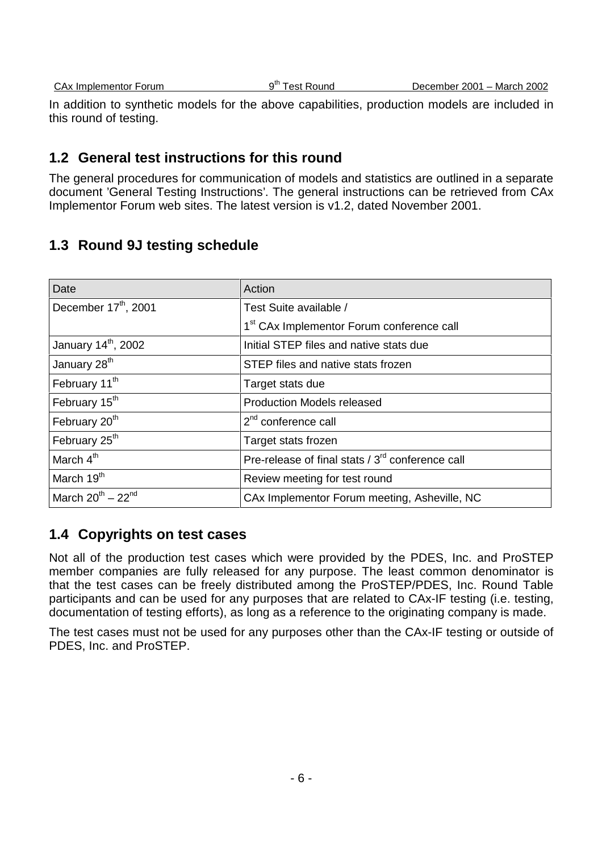In addition to synthetic models for the above capabilities, production models are included in this round of testing.

### **1.2 General test instructions for this round**

The general procedures for communication of models and statistics are outlined in a separate document 'General Testing Instructions'. The general instructions can be retrieved from CAx Implementor Forum web sites. The latest version is v1.2, dated November 2001.

### **1.3 Round 9J testing schedule**

| Date                             | Action                                                       |
|----------------------------------|--------------------------------------------------------------|
| December 17 <sup>th</sup> , 2001 | Test Suite available /                                       |
|                                  | 1 <sup>st</sup> CAx Implementor Forum conference call        |
| January 14 <sup>th</sup> , 2002  | Initial STEP files and native stats due                      |
| January 28 <sup>th</sup>         | STEP files and native stats frozen                           |
| February 11 <sup>th</sup>        | Target stats due                                             |
| February 15 <sup>th</sup>        | <b>Production Models released</b>                            |
| February 20 <sup>th</sup>        | $2nd$ conference call                                        |
| February 25 <sup>th</sup>        | Target stats frozen                                          |
| March 4 <sup>th</sup>            | Pre-release of final stats / 3 <sup>rd</sup> conference call |
| March 19 <sup>th</sup>           | Review meeting for test round                                |
| March $20^{th}$ – $22^{nd}$      | CAx Implementor Forum meeting, Asheville, NC                 |

### **1.4 Copyrights on test cases**

Not all of the production test cases which were provided by the PDES, Inc. and ProSTEP member companies are fully released for any purpose. The least common denominator is that the test cases can be freely distributed among the ProSTEP/PDES, Inc. Round Table participants and can be used for any purposes that are related to CAx-IF testing (i.e. testing, documentation of testing efforts), as long as a reference to the originating company is made.

The test cases must not be used for any purposes other than the CAx-IF testing or outside of PDES, Inc. and ProSTEP.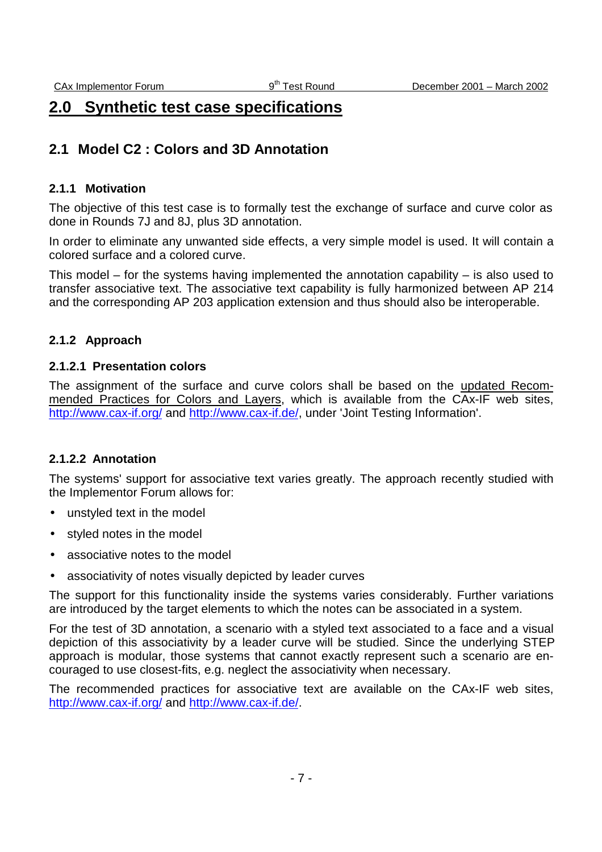## **2.0 Synthetic test case specifications**

### **2.1 Model C2 : Colors and 3D Annotation**

#### **2.1.1 Motivation**

The objective of this test case is to formally test the exchange of surface and curve color as done in Rounds 7J and 8J, plus 3D annotation.

In order to eliminate any unwanted side effects, a very simple model is used. It will contain a colored surface and a colored curve.

This model – for the systems having implemented the annotation capability – is also used to transfer associative text. The associative text capability is fully harmonized between AP 214 and the corresponding AP 203 application extension and thus should also be interoperable.

#### **2.1.2 Approach**

#### **2.1.2.1 Presentation colors**

The assignment of the surface and curve colors shall be based on the updated Recommended Practices for Colors and Layers, which is available from the CAx-IF web sites, http://www.cax-if.org/ and http://www.cax-if.de/, under 'Joint Testing Information'.

#### **2.1.2.2 Annotation**

The systems' support for associative text varies greatly. The approach recently studied with the Implementor Forum allows for:

- unstyled text in the model
- styled notes in the model
- associative notes to the model
- associativity of notes visually depicted by leader curves

The support for this functionality inside the systems varies considerably. Further variations are introduced by the target elements to which the notes can be associated in a system.

For the test of 3D annotation, a scenario with a styled text associated to a face and a visual depiction of this associativity by a leader curve will be studied. Since the underlying STEP approach is modular, those systems that cannot exactly represent such a scenario are encouraged to use closest-fits, e.g. neglect the associativity when necessary.

The recommended practices for associative text are available on the CAx-IF web sites, http://www.cax-if.org/ and http://www.cax-if.de/.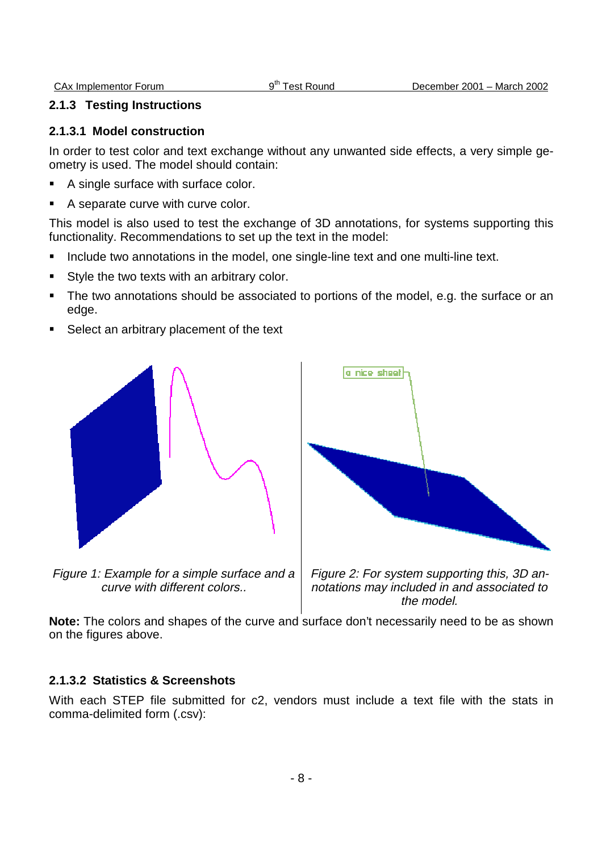#### **2.1.3 Testing Instructions**

#### **2.1.3.1 Model construction**

In order to test color and text exchange without any unwanted side effects, a very simple geometry is used. The model should contain:

- A single surface with surface color.
- A separate curve with curve color.

This model is also used to test the exchange of 3D annotations, for systems supporting this functionality. Recommendations to set up the text in the model:

- **Include two annotations in the model, one single-line text and one multi-line text.**
- Style the two texts with an arbitrary color.
- The two annotations should be associated to portions of the model, e.g. the surface or an edge.
- Select an arbitrary placement of the text



Figure 1: Example for a simple surface and a curve with different colors..





**Note:** The colors and shapes of the curve and surface don't necessarily need to be as shown on the figures above.

#### **2.1.3.2 Statistics & Screenshots**

With each STEP file submitted for c2, vendors must include a text file with the stats in comma-delimited form (.csv):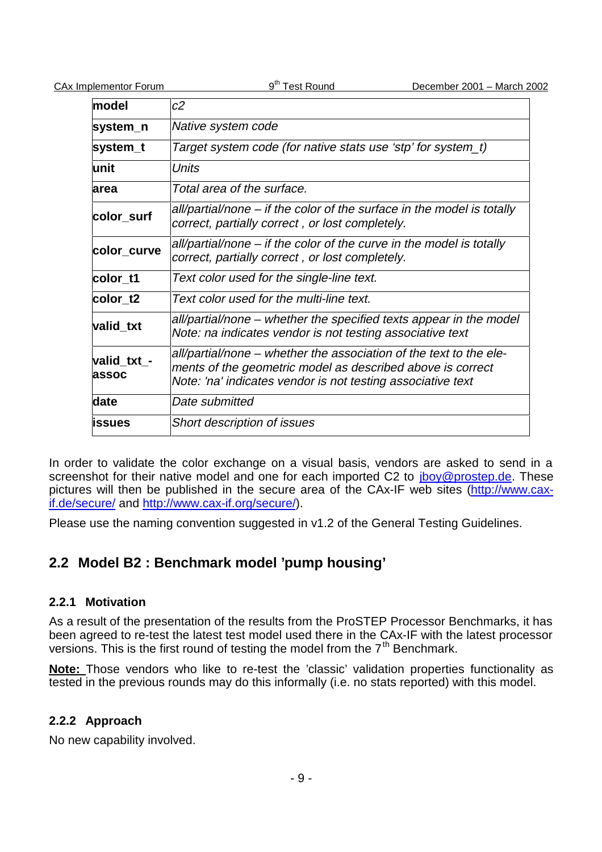| model                        | c2                                                                                                                                                                                              |
|------------------------------|-------------------------------------------------------------------------------------------------------------------------------------------------------------------------------------------------|
| system_n                     | Native system code                                                                                                                                                                              |
| system_t                     | Target system code (for native stats use 'stp' for system_t)                                                                                                                                    |
| lunit                        | Units                                                                                                                                                                                           |
| area                         | Total area of the surface.                                                                                                                                                                      |
| color_surf                   | all/partial/none – if the color of the surface in the model is totally<br>correct, partially correct, or lost completely.                                                                       |
| color_curve                  | all/partial/none – if the color of the curve in the model is totally<br>correct, partially correct, or lost completely.                                                                         |
| color t1                     | Text color used for the single-line text.                                                                                                                                                       |
| color t2                     | Text color used for the multi-line text.                                                                                                                                                        |
| valid_txt                    | all/partial/none – whether the specified texts appear in the model<br>Note: na indicates vendor is not testing associative text                                                                 |
| valid_txt_-<br><b>lassoc</b> | all/partial/none – whether the association of the text to the ele-<br>ments of the geometric model as described above is correct<br>Note: 'na' indicates vendor is not testing associative text |
| date                         | Date submitted                                                                                                                                                                                  |
| <b>lissues</b>               | <b>Short description of issues</b>                                                                                                                                                              |

In order to validate the color exchange on a visual basis, vendors are asked to send in a screenshot for their native model and one for each imported C2 to *iboy@prostep.de*. These pictures will then be published in the secure area of the CAx-IF web sites (http://www.caxif.de/secure/ and http://www.cax-if.org/secure/).

Please use the naming convention suggested in v1.2 of the General Testing Guidelines.

### **2.2 Model B2 : Benchmark model 'pump housing'**

#### **2.2.1 Motivation**

As a result of the presentation of the results from the ProSTEP Processor Benchmarks, it has been agreed to re-test the latest test model used there in the CAx-IF with the latest processor versions. This is the first round of testing the model from the  $7<sup>th</sup>$  Benchmark.

**Note:** Those vendors who like to re-test the 'classic' validation properties functionality as tested in the previous rounds may do this informally (i.e. no stats reported) with this model.

#### **2.2.2 Approach**

No new capability involved.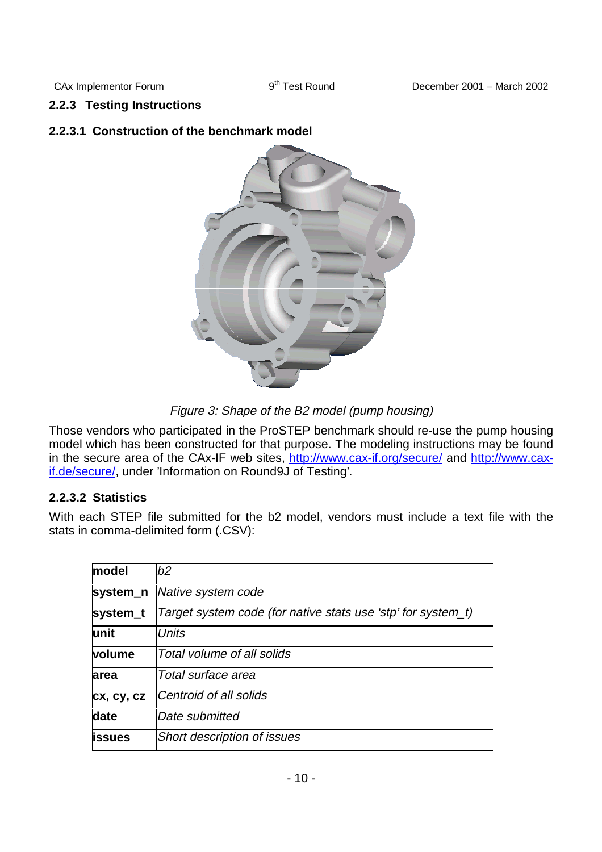#### **2.2.3 Testing Instructions**

#### **2.2.3.1 Construction of the benchmark model**



Figure 3: Shape of the B2 model (pump housing)

Those vendors who participated in the ProSTEP benchmark should re-use the pump housing model which has been constructed for that purpose. The modeling instructions may be found in the secure area of the CAx-IF web sites, http://www.cax-if.org/secure/ and http://www.caxif.de/secure/, under 'Information on Round9J of Testing'.

#### **2.2.3.2 Statistics**

With each STEP file submitted for the b2 model, vendors must include a text file with the stats in comma-delimited form (.CSV):

| model          | b2                                                           |
|----------------|--------------------------------------------------------------|
| system_n       | Native system code                                           |
| system_t       | Target system code (for native stats use 'stp' for system_t) |
| lunit          | <b>Units</b>                                                 |
| <b>volume</b>  | Total volume of all solids                                   |
| area           | Total surface area                                           |
| cx, cy, cz     | Centroid of all solids                                       |
| date           | Date submitted                                               |
| <b>lissues</b> | <b>Short description of issues</b>                           |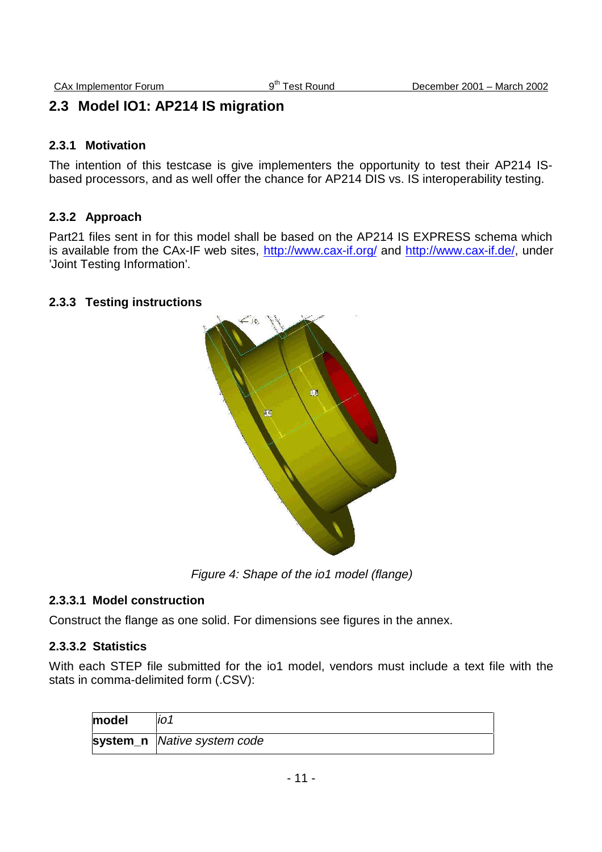### **2.3 Model IO1: AP214 IS migration**

#### **2.3.1 Motivation**

The intention of this testcase is give implementers the opportunity to test their AP214 ISbased processors, and as well offer the chance for AP214 DIS vs. IS interoperability testing.

#### **2.3.2 Approach**

Part21 files sent in for this model shall be based on the AP214 IS EXPRESS schema which is available from the CAx-IF web sites, http://www.cax-if.org/ and http://www.cax-if.de/, under 'Joint Testing Information'.

#### **2.3.3 Testing instructions**



Figure 4: Shape of the io1 model (flange)

#### **2.3.3.1 Model construction**

Construct the flange as one solid. For dimensions see figures in the annex.

#### **2.3.3.2 Statistics**

With each STEP file submitted for the io1 model, vendors must include a text file with the stats in comma-delimited form (.CSV):

| model | IO 1                        |
|-------|-----------------------------|
|       | system_n Native system code |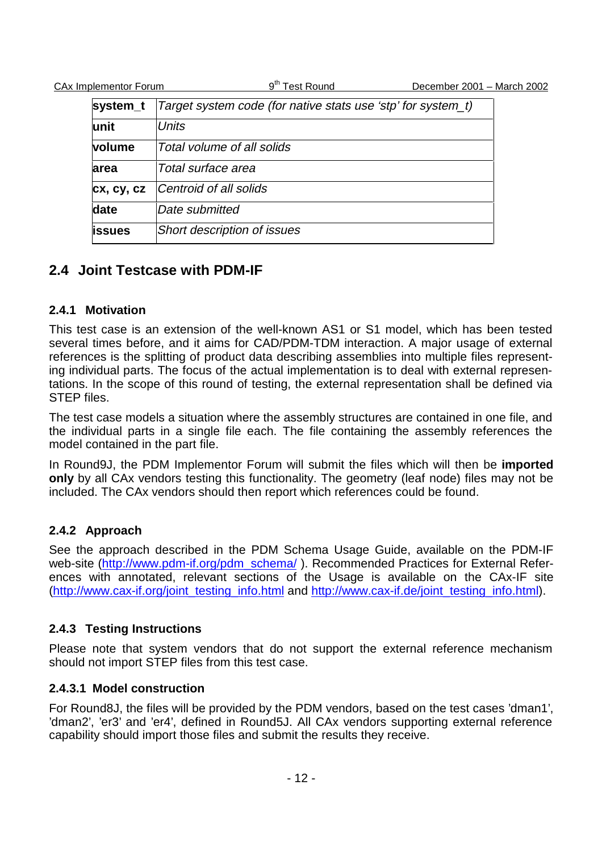| system_t   | Target system code (for native stats use 'stp' for system_t) |  |
|------------|--------------------------------------------------------------|--|
| lunit      | <b>Units</b>                                                 |  |
| volume     | Total volume of all solids                                   |  |
| area       | Total surface area                                           |  |
| cx, cy, cz | Centroid of all solids                                       |  |
| date       | Date submitted                                               |  |
| issues     | <b>Short description of issues</b>                           |  |

### **2.4 Joint Testcase with PDM-IF**

#### **2.4.1 Motivation**

This test case is an extension of the well-known AS1 or S1 model, which has been tested several times before, and it aims for CAD/PDM-TDM interaction. A major usage of external references is the splitting of product data describing assemblies into multiple files representing individual parts. The focus of the actual implementation is to deal with external representations. In the scope of this round of testing, the external representation shall be defined via STEP files.

The test case models a situation where the assembly structures are contained in one file, and the individual parts in a single file each. The file containing the assembly references the model contained in the part file.

In Round9J, the PDM Implementor Forum will submit the files which will then be **imported only** by all CAx vendors testing this functionality. The geometry (leaf node) files may not be included. The CAx vendors should then report which references could be found.

#### **2.4.2 Approach**

See the approach described in the PDM Schema Usage Guide, available on the PDM-IF web-site (http://www.pdm-if.org/pdm\_schema/). Recommended Practices for External References with annotated, relevant sections of the Usage is available on the CAx-IF site (http://www.cax-if.org/joint\_testing\_info.html and http://www.cax-if.de/joint\_testing\_info.html).

#### **2.4.3 Testing Instructions**

Please note that system vendors that do not support the external reference mechanism should not import STEP files from this test case.

#### **2.4.3.1 Model construction**

For Round8J, the files will be provided by the PDM vendors, based on the test cases 'dman1', 'dman2', 'er3' and 'er4', defined in Round5J. All CAx vendors supporting external reference capability should import those files and submit the results they receive.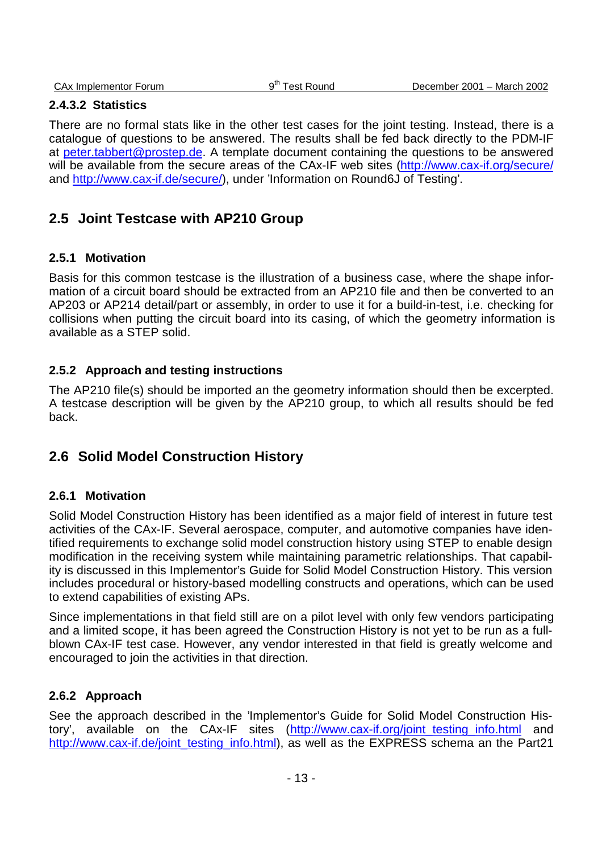#### **2.4.3.2 Statistics**

There are no formal stats like in the other test cases for the joint testing. Instead, there is a catalogue of questions to be answered. The results shall be fed back directly to the PDM-IF at peter.tabbert@prostep.de. A template document containing the questions to be answered will be available from the secure areas of the CAx-IF web sites (http://www.cax-if.org/secure/ and http://www.cax-if.de/secure/), under 'Information on Round6J of Testing'.

### **2.5 Joint Testcase with AP210 Group**

#### **2.5.1 Motivation**

Basis for this common testcase is the illustration of a business case, where the shape information of a circuit board should be extracted from an AP210 file and then be converted to an AP203 or AP214 detail/part or assembly, in order to use it for a build-in-test, i.e. checking for collisions when putting the circuit board into its casing, of which the geometry information is available as a STEP solid.

#### **2.5.2 Approach and testing instructions**

The AP210 file(s) should be imported an the geometry information should then be excerpted. A testcase description will be given by the AP210 group, to which all results should be fed back.

### **2.6 Solid Model Construction History**

#### **2.6.1 Motivation**

Solid Model Construction History has been identified as a major field of interest in future test activities of the CAx-IF. Several aerospace, computer, and automotive companies have identified requirements to exchange solid model construction history using STEP to enable design modification in the receiving system while maintaining parametric relationships. That capability is discussed in this Implementor's Guide for Solid Model Construction History. This version includes procedural or history-based modelling constructs and operations, which can be used to extend capabilities of existing APs.

Since implementations in that field still are on a pilot level with only few vendors participating and a limited scope, it has been agreed the Construction History is not yet to be run as a fullblown CAx-IF test case. However, any vendor interested in that field is greatly welcome and encouraged to join the activities in that direction.

#### **2.6.2 Approach**

See the approach described in the 'Implementor's Guide for Solid Model Construction History', available on the CAx-IF sites (http://www.cax-if.org/joint testing info.html and http://www.cax-if.de/joint\_testing\_info.html), as well as the EXPRESS schema an the Part21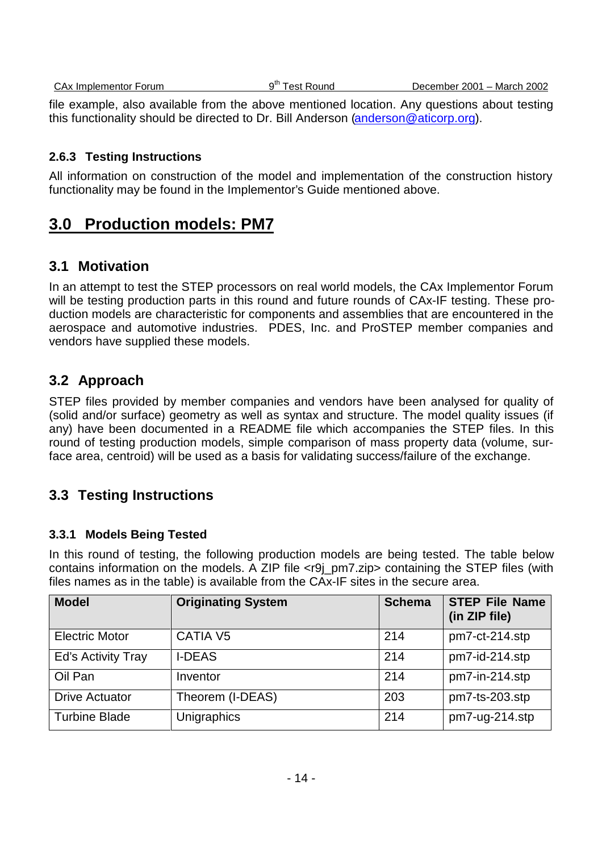file example, also available from the above mentioned location. Any questions about testing this functionality should be directed to Dr. Bill Anderson (anderson@aticorp.org).

#### **2.6.3 Testing Instructions**

All information on construction of the model and implementation of the construction history functionality may be found in the Implementor's Guide mentioned above.

## **3.0 Production models: PM7**

### **3.1 Motivation**

In an attempt to test the STEP processors on real world models, the CAx Implementor Forum will be testing production parts in this round and future rounds of CAx-IF testing. These production models are characteristic for components and assemblies that are encountered in the aerospace and automotive industries. PDES, Inc. and ProSTEP member companies and vendors have supplied these models.

### **3.2 Approach**

STEP files provided by member companies and vendors have been analysed for quality of (solid and/or surface) geometry as well as syntax and structure. The model quality issues (if any) have been documented in a README file which accompanies the STEP files. In this round of testing production models, simple comparison of mass property data (volume, surface area, centroid) will be used as a basis for validating success/failure of the exchange.

### **3.3 Testing Instructions**

#### **3.3.1 Models Being Tested**

In this round of testing, the following production models are being tested. The table below contains information on the models. A ZIP file <r9j\_pm7.zip> containing the STEP files (with files names as in the table) is available from the CAx-IF sites in the secure area.

| <b>Model</b>          | <b>Originating System</b> | <b>Schema</b> | <b>STEP File Name</b><br>(in ZIP file) |
|-----------------------|---------------------------|---------------|----------------------------------------|
| <b>Electric Motor</b> | CATIA V <sub>5</sub>      | 214           | pm7-ct-214.stp                         |
| Ed's Activity Tray    | <b>I-DEAS</b>             | 214           | pm7-id-214.stp                         |
| Oil Pan               | Inventor                  | 214           | pm7-in-214.stp                         |
| <b>Drive Actuator</b> | Theorem (I-DEAS)          | 203           | pm7-ts-203.stp                         |
| <b>Turbine Blade</b>  | Unigraphics               | 214           | pm7-ug-214.stp                         |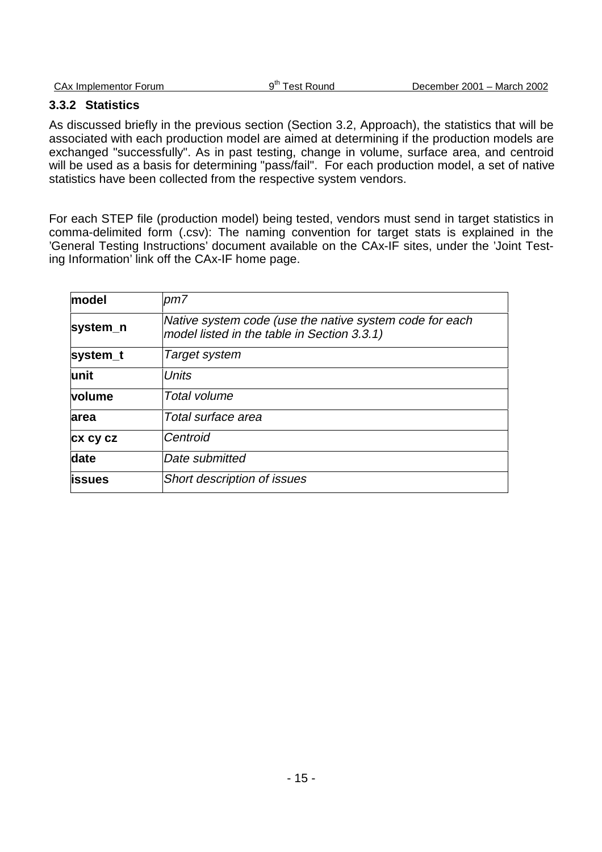| CAx Implementor<br>Forum | ∽th<br>Round<br>est<br>ີ | 2002<br>2001 – March∶<br>December |
|--------------------------|--------------------------|-----------------------------------|
|                          |                          |                                   |

#### **3.3.2 Statistics**

As discussed briefly in the previous section (Section 3.2, Approach), the statistics that will be associated with each production model are aimed at determining if the production models are exchanged "successfully". As in past testing, change in volume, surface area, and centroid will be used as a basis for determining "pass/fail". For each production model, a set of native statistics have been collected from the respective system vendors.

For each STEP file (production model) being tested, vendors must send in target statistics in comma-delimited form (.csv): The naming convention for target stats is explained in the 'General Testing Instructions' document available on the CAx-IF sites, under the 'Joint Testing Information' link off the CAx-IF home page.

| model    | pm7                                                                                                    |
|----------|--------------------------------------------------------------------------------------------------------|
| system_n | Native system code (use the native system code for each<br>model listed in the table in Section 3.3.1) |
| system_t | Target system                                                                                          |
| unit     | Units                                                                                                  |
| volume   | <b>Total volume</b>                                                                                    |
| area     | Total surface area                                                                                     |
| CX CY CZ | Centroid                                                                                               |
| date     | Date submitted                                                                                         |
| issues   | <b>Short description of issues</b>                                                                     |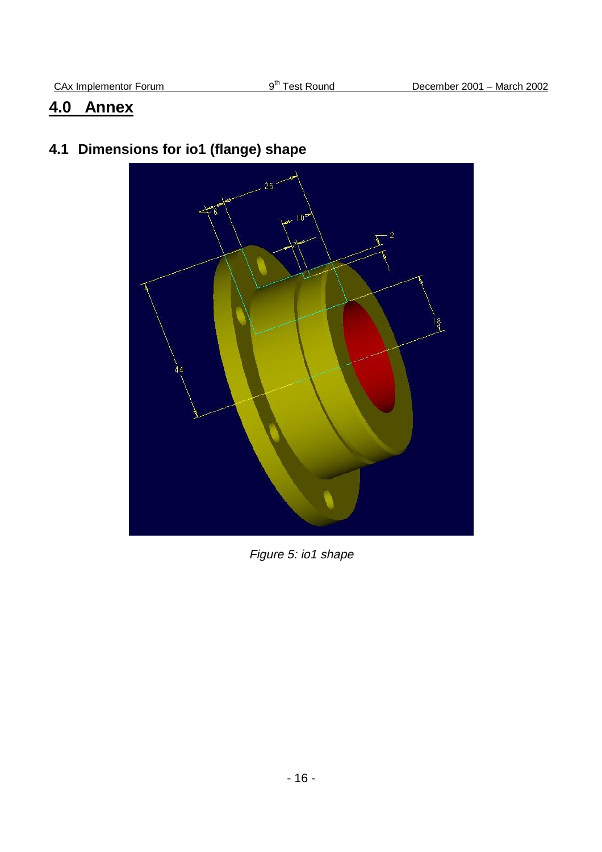# **4.0 Annex**

# **4.1 Dimensions for io1 (flange) shape**



Figure 5: io1 shape